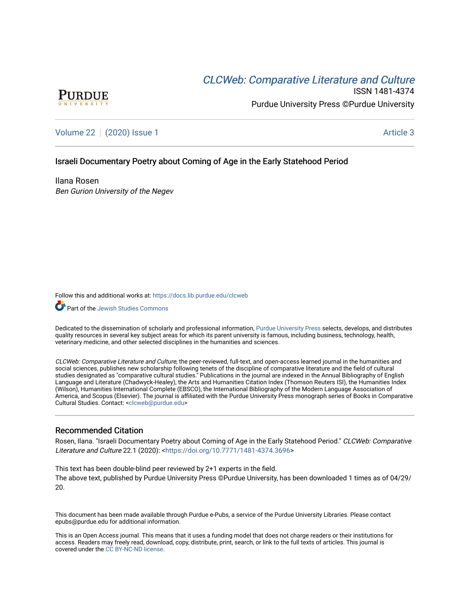# CLCW[eb: Comparative Liter](https://docs.lib.purdue.edu/clcweb)ature and Culture



ISSN 1481-4374 Purdue University Press ©Purdue University

[Volume 22](https://docs.lib.purdue.edu/clcweb/vol22) | [\(2020\) Issue 1](https://docs.lib.purdue.edu/clcweb/vol22/iss1) Article 3

## Israeli Documentary Poetry about Coming of Age in the Early Statehood Period

Ilana Rosen Ben Gurion University of the Negev

Follow this and additional works at: [https://docs.lib.purdue.edu/clcweb](https://docs.lib.purdue.edu/clcweb?utm_source=docs.lib.purdue.edu%2Fclcweb%2Fvol22%2Fiss1%2F3&utm_medium=PDF&utm_campaign=PDFCoverPages)

Part of the [Jewish Studies Commons](http://network.bepress.com/hgg/discipline/479?utm_source=docs.lib.purdue.edu%2Fclcweb%2Fvol22%2Fiss1%2F3&utm_medium=PDF&utm_campaign=PDFCoverPages)

Dedicated to the dissemination of scholarly and professional information, [Purdue University Press](http://www.thepress.purdue.edu/) selects, develops, and distributes quality resources in several key subject areas for which its parent university is famous, including business, technology, health, veterinary medicine, and other selected disciplines in the humanities and sciences.

CLCWeb: Comparative Literature and Culture, the peer-reviewed, full-text, and open-access learned journal in the humanities and social sciences, publishes new scholarship following tenets of the discipline of comparative literature and the field of cultural studies designated as "comparative cultural studies." Publications in the journal are indexed in the Annual Bibliography of English Language and Literature (Chadwyck-Healey), the Arts and Humanities Citation Index (Thomson Reuters ISI), the Humanities Index (Wilson), Humanities International Complete (EBSCO), the International Bibliography of the Modern Language Association of America, and Scopus (Elsevier). The journal is affiliated with the Purdue University Press monograph series of Books in Comparative Cultural Studies. Contact: [<clcweb@purdue.edu](mailto:clcweb@purdue.edu)>

## Recommended Citation

Rosen, Ilana. "Israeli Documentary Poetry about Coming of Age in the Early Statehood Period." CLCWeb: Comparative Literature and Culture 22.1 (2020): <<https://doi.org/10.7771/1481-4374.3696>>

This text has been double-blind peer reviewed by 2+1 experts in the field. The above text, published by Purdue University Press ©Purdue University, has been downloaded 1 times as of 04/29/ 20.

This document has been made available through Purdue e-Pubs, a service of the Purdue University Libraries. Please contact epubs@purdue.edu for additional information.

This is an Open Access journal. This means that it uses a funding model that does not charge readers or their institutions for access. Readers may freely read, download, copy, distribute, print, search, or link to the full texts of articles. This journal is covered under the [CC BY-NC-ND license.](https://creativecommons.org/licenses/by-nc-nd/4.0/)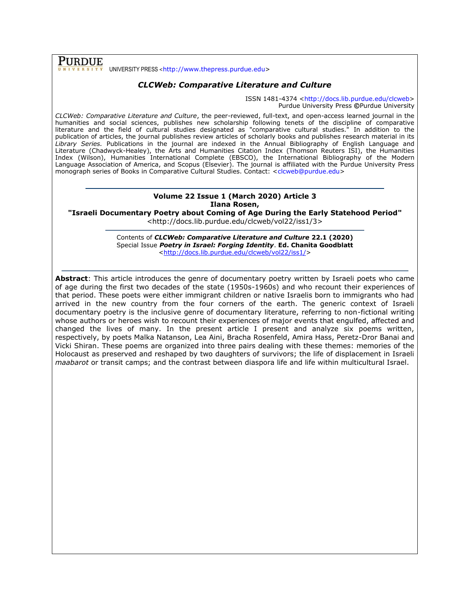**PURDUE** UNIVERSITY PRESS <[http://www.thepress.purdue.edu>](http://www.thepress.purdue.edu/)

# *CLCWeb: Comparative Literature and Culture*

ISSN 1481-4374 [<http://docs.lib.purdue.edu/clcweb>](http://docs.lib.purdue.edu/clcweb) Purdue University Press **©**Purdue University

*CLCWeb: Comparative Literature and Culture*, the peer-reviewed, full-text, and open-access learned journal in the humanities and social sciences, publishes new scholarship following tenets of the discipline of comparative literature and the field of cultural studies designated as "comparative cultural studies." In addition to the publication of articles, the journal publishes review articles of scholarly books and publishes research material in its *Library Series.* Publications in the journal are indexed in the Annual Bibliography of English Language and Literature (Chadwyck-Healey), the Arts and Humanities Citation Index (Thomson Reuters ISI), the Humanities Index (Wilson), Humanities International Complete (EBSCO), the International Bibliography of the Modern Language Association of America, and Scopus (Elsevier). The journal is affiliated with the Purdue University Press monograph series of Books in Comparative Cultural Studies. Contact: [<clcweb@purdue.edu>](mailto:clcweb@purdue.edu)

### **Volume 22 Issue 1 (March 2020) Article 3 Ilana Rosen,**

**"Israeli Documentary Poetry about Coming of Age During the Early Statehood Period"**

<http://docs.lib.purdue.edu/clcweb/vol22/iss1/3>

Contents of *CLCWeb: Comparative Literature and Culture* **22.1 (2020)** Special Issue *Poetry in Israel: Forging Identity*. **Ed. Chanita Goodblatt** [<http://docs.lib.purdue.edu/clcweb/vol22/iss1/>](http://docs.lib.purdue.edu/clcweb/vol22/iss1/)

**Abstract**: This article introduces the genre of documentary poetry written by Israeli poets who came of age during the first two decades of the state (1950s-1960s) and who recount their experiences of that period. These poets were either immigrant children or native Israelis born to immigrants who had arrived in the new country from the four corners of the earth. The generic context of Israeli documentary poetry is the inclusive genre of documentary literature, referring to non-fictional writing whose authors or heroes wish to recount their experiences of major events that engulfed, affected and changed the lives of many. In the present article I present and analyze six poems written, respectively, by poets Malka Natanson, Lea Aini, Bracha Rosenfeld, Amira Hass, Peretz-Dror Banai and Vicki Shiran. These poems are organized into three pairs dealing with these themes: memories of the Holocaust as preserved and reshaped by two daughters of survivors; the life of displacement in Israeli *maabarot* or transit camps; and the contrast between diaspora life and life within multicultural Israel.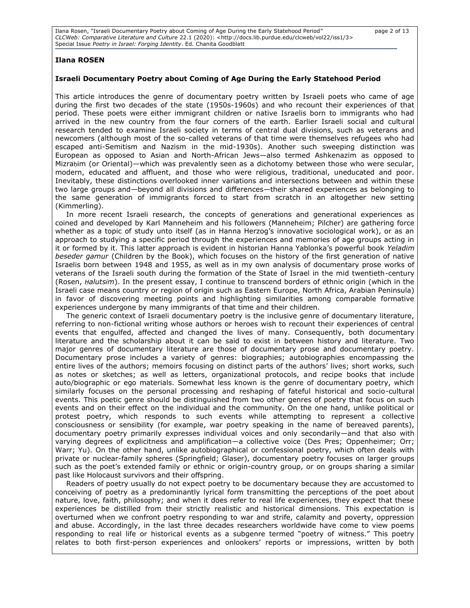Ilana Rosen, "Israeli Documentary Poetry about Coming of Age During the Early Statehood Period" page 2 of 13 *CLCWeb: Comparative Literature and Culture* 22.1 (2020): <http://docs.lib.purdue.edu/clcweb/vol22/iss1/3> Special Issue *Poetry in Israel: Forging Identity*. Ed. Chanita Goodblatt

#### **Ilana ROSEN**

#### **Israeli Documentary Poetry about Coming of Age During the Early Statehood Period**

This article introduces the genre of documentary poetry written by Israeli poets who came of age during the first two decades of the state (1950s-1960s) and who recount their experiences of that period. These poets were either immigrant children or native Israelis born to immigrants who had arrived in the new country from the four corners of the earth. Earlier Israeli social and cultural research tended to examine Israeli society in terms of central dual divisions, such as veterans and newcomers (although most of the so-called veterans of that time were themselves refugees who had escaped anti-Semitism and Nazism in the mid-1930s). Another such sweeping distinction was European as opposed to Asian and North-African Jews—also termed Ashkenazim as opposed to Mizrahim (or Oriental)—which was prevalently seen as a dichotomy between those who were secular, modern, educated and affluent, and those who were religious, traditional, uneducated and poor. Inevitably, these distinctions overlooked inner variations and intersections between and within these two large groups and—beyond all divisions and differences—their shared experiences as belonging to the same generation of immigrants forced to start from scratch in an altogether new setting (Kimmerling).

In more recent Israeli research, the concepts of generations and generational experiences as coined and developed by Karl Manneheim and his followers (Manneheim; Pilcher) are gathering force whether as a topic of study unto itself (as in Hanna Herzog's innovative sociological work), or as an approach to studying a specific period through the experiences and memories of age groups acting in it or formed by it. This latter approach is evident in historian Hanna Yablonka's powerful book *Yeladim beseder gamur* (Children by the Book), which focuses on the history of the first generation of native Israelis born between 1948 and 1955, as well as in my own analysis of documentary prose works of veterans of the Israeli south during the formation of the State of Israel in the mid twentieth-century (Rosen, *Ḥalutsim*). In the present essay, I continue to transcend borders of ethnic origin (which in the Israeli case means country or region of origin such as Eastern Europe, North Africa, Arabian Peninsula) in favor of discovering meeting points and highlighting similarities among comparable formative experiences undergone by many immigrants of that time and their children.

The generic context of Israeli documentary poetry is the inclusive genre of documentary literature, referring to non-fictional writing whose authors or heroes wish to recount their experiences of central events that engulfed, affected and changed the lives of many. Consequently, both documentary literature and the scholarship about it can be said to exist in between history and literature. Two major genres of documentary literature are those of documentary prose and documentary poetry. Documentary prose includes a variety of genres: biographies; autobiographies encompassing the entire lives of the authors; memoirs focusing on distinct parts of the authors' lives; short works, such as notes or sketches; as well as letters, organizational protocols, and recipe books that include auto/biographic or ego materials. Somewhat less known is the genre of documentary poetry, which similarly focuses on the personal processing and reshaping of fateful historical and socio-cultural events. This poetic genre should be distinguished from two other genres of poetry that focus on such events and on their effect on the individual and the community. On the one hand, unlike political or protest poetry, which responds to such events while attempting to represent a collective consciousness or sensibility (for example, war poetry speaking in the name of bereaved parents), documentary poetry primarily expresses individual voices and only secondarily—and that also with varying degrees of explicitness and amplification—a collective voice (Des Pres; Oppenheimer; Orr; Warr; Yu). On the other hand, unlike autobiographical or confessional poetry, which often deals with private or nuclear-family spheres (Springfield; Glaser), documentary poetry focuses on larger groups such as the poet's extended family or ethnic or origin-country group, or on groups sharing a similar past like Holocaust survivors and their offspring.

Readers of poetry usually do not expect poetry to be documentary because they are accustomed to conceiving of poetry as a predominantly lyrical form transmitting the perceptions of the poet about nature, love, faith, philosophy; and when it does refer to real life experiences, they expect that these experiences be distilled from their strictly realistic and historical dimensions. This expectation is overturned when we confront poetry responding to war and strife, calamity and poverty, oppression and abuse. Accordingly, in the last three decades researchers worldwide have come to view poems responding to real life or historical events as a subgenre termed "poetry of witness." This poetry relates to both first-person experiences and onlookers' reports or impressions, written by both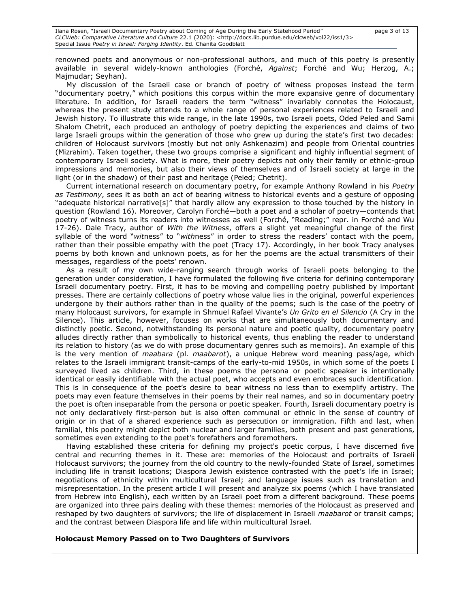Ilana Rosen, "Israeli Documentary Poetry about Coming of Age During the Early Statehood Period" page 3 of 13 *CLCWeb: Comparative Literature and Culture* 22.1 (2020): <http://docs.lib.purdue.edu/clcweb/vol22/iss1/3> Special Issue *Poetry in Israel: Forging Identity*. Ed. Chanita Goodblatt

renowned poets and anonymous or non-professional authors, and much of this poetry is presently available in several widely-known anthologies (Forché, *Against*; Forché and Wu; Herzog, A.; Majmudar; Seyhan).

My discussion of the Israeli case or branch of poetry of witness proposes instead the term "documentary poetry," which positions this corpus within the more expansive genre of documentary literature. In addition, for Israeli readers the term "witness" invariably connotes the Holocaust, whereas the present study attends to a whole range of personal experiences related to Israeli and Jewish history. To illustrate this wide range, in the late 1990s, two Israeli poets, Oded Peled and Sami Shalom Chetrit, each produced an anthology of poetry depicting the experiences and claims of two large Israeli groups within the generation of those who grew up during the state's first two decades: children of Holocaust survivors (mostly but not only Ashkenazim) and people from Oriental countries (Mizraḥim). Taken together, these two groups comprise a significant and highly influential segment of contemporary Israeli society. What is more, their poetry depicts not only their family or ethnic-group impressions and memories, but also their views of themselves and of Israeli society at large in the light (or in the shadow) of their past and heritage (Peled; Chetrit).

Current international research on documentary poetry, for example Anthony Rowland in his *Poetry as Testimony*, sees it as both an act of bearing witness to historical events and a gesture of opposing "adequate historical narrative[s]" that hardly allow any expression to those touched by the history in question (Rowland 16). Moreover, Carolyn Forché—both a poet and a scholar of poetry—contends that poetry of witness turns its readers into witnesses as well (Forché, "Reading;" repr. in Forché and Wu 17-26). Dale Tracy, author of *With the Witness*, offers a slight yet meaningful change of the first syllable of the word "*wit*ness" to "*with*ness" in order to stress the readers' contact with the poem, rather than their possible empathy with the poet (Tracy 17). Accordingly, in her book Tracy analyses poems by both known and unknown poets, as for her the poems are the actual transmitters of their messages, regardless of the poets' renown.

As a result of my own wide-ranging search through works of Israeli poets belonging to the generation under consideration, I have formulated the following five criteria for defining contemporary Israeli documentary poetry. First, it has to be moving and compelling poetry published by important presses. There are certainly collections of poetry whose value lies in the original, powerful experiences undergone by their authors rather than in the quality of the poems; such is the case of the poetry of many Holocaust survivors, for example in Shmuel Rafael Vivante's *Un Grito en el Silencio* (A Cry in the Silence). This article, however, focuses on works that are simultaneously both documentary and distinctly poetic. Second, notwithstanding its personal nature and poetic quality, documentary poetry alludes directly rather than symbolically to historical events, thus enabling the reader to understand its relation to history (as we do with prose documentary genres such as memoirs). An example of this is the very mention of *maabara* (pl. *maabarot*), a unique Hebrew word meaning pass/age, which relates to the Israeli immigrant transit-camps of the early-to-mid 1950s, in which some of the poets I surveyed lived as children. Third, in these poems the persona or poetic speaker is intentionally identical or easily identifiable with the actual poet, who accepts and even embraces such identification. This is in consequence of the poet's desire to bear witness no less than to exemplify artistry. The poets may even feature themselves in their poems by their real names, and so in documentary poetry the poet is often inseparable from the persona or poetic speaker. Fourth, Israeli documentary poetry is not only declaratively first-person but is also often communal or ethnic in the sense of country of origin or in that of a shared experience such as persecution or immigration. Fifth and last, when familial, this poetry might depict both nuclear and larger families, both present and past generations, sometimes even extending to the poet's forefathers and foremothers.

Having established these criteria for defining my project's poetic corpus, I have discerned five central and recurring themes in it. These are: memories of the Holocaust and portraits of Israeli Holocaust survivors; the journey from the old country to the newly-founded State of Israel, sometimes including life in transit locations; Diaspora Jewish existence contrasted with the poet's life in Israel; negotiations of ethnicity within multicultural Israel; and language issues such as translation and misrepresentation. In the present article I will present and analyze six poems (which I have translated from Hebrew into English), each written by an Israeli poet from a different background. These poems are organized into three pairs dealing with these themes: memories of the Holocaust as preserved and reshaped by two daughters of survivors; the life of displacement in Israeli *maabarot* or transit camps; and the contrast between Diaspora life and life within multicultural Israel.

#### **Holocaust Memory Passed on to Two Daughters of Survivors**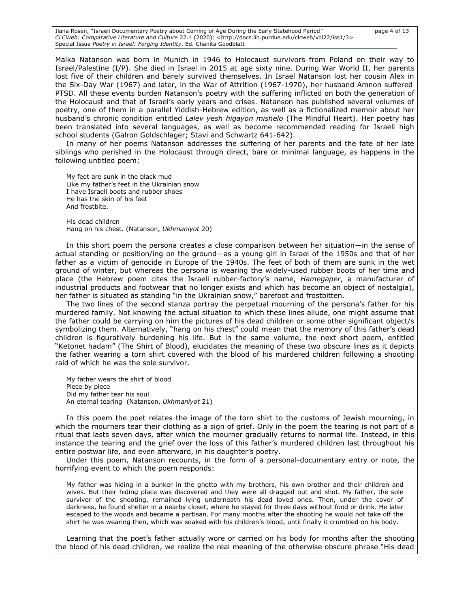Ilana Rosen, "Israeli Documentary Poetry about Coming of Age During the Early Statehood Period" page 4 of 13 *CLCWeb: Comparative Literature and Culture* 22.1 (2020): <http://docs.lib.purdue.edu/clcweb/vol22/iss1/3> Special Issue *Poetry in Israel: Forging Identity*. Ed. Chanita Goodblatt

Malka Natanson was born in Munich in 1946 to Holocaust survivors from Poland on their way to Israel/Palestine (I/P). She died in Israel in 2015 at age sixty nine. During War World II, her parents lost five of their children and barely survived themselves. In Israel Natanson lost her cousin Alex in the Six-Day War (1967) and later, in the War of Attrition (1967-1970), her husband Amnon suffered PTSD. All these events burden Natanson's poetry with the suffering inflicted on both the generation of the Holocaust and that of Israel's early years and crises. Natanson has published several volumes of poetry, one of them in a parallel Yiddish-Hebrew edition, as well as a fictionalized memoir about her husband's chronic condition entitled *Lalev yesh higayon mishelo* (The Mindful Heart). Her poetry has been translated into several languages, as well as become recommended reading for Israeli high school students (Galron Goldschlager; Stavi and Schwartz 641-642).

In many of her poems Natanson addresses the suffering of her parents and the fate of her late siblings who perished in the Holocaust through direct, bare or minimal language, as happens in the following untitled poem:

My feet are sunk in the black mud Like my father's feet in the Ukrainian snow I have Israeli boots and rubber shoes He has the skin of his feet And frostbite.

His dead children Hang on his chest. (Natanson, *Ukhmaniyot* 20)

In this short poem the persona creates a close comparison between her situation—in the sense of actual standing or position/ing on the ground—as a young girl in Israel of the 1950s and that of her father as a victim of genocide in Europe of the 1940s. The feet of both of them are sunk in the wet ground of winter, but whereas the persona is wearing the widely-used rubber boots of her time and place (the Hebrew poem cites the Israeli rubber-factory's name, *Hamegaper*, a manufacturer of industrial products and footwear that no longer exists and which has become an object of nostalgia), her father is situated as standing "in the Ukrainian snow," barefoot and frostbitten.

The two lines of the second stanza portray the perpetual mourning of the persona's father for his murdered family. Not knowing the actual situation to which these lines allude, one might assume that the father could be carrying on him the pictures of his dead children or some other significant object/s symbolizing them. Alternatively, "hang on his chest" could mean that the memory of this father's dead children is figuratively burdening his life. But in the same volume, the next short poem, entitled "Ketonet hadam" (The Shirt of Blood), elucidates the meaning of these two obscure lines as it depicts the father wearing a torn shirt covered with the blood of his murdered children following a shooting raid of which he was the sole survivor.

My father wears the shirt of blood Piece by piece Did my father tear his soul An eternal tearing (Natanson, *Ukhmaniyot* 21)

In this poem the poet relates the image of the torn shirt to the customs of Jewish mourning, in which the mourners tear their clothing as a sign of grief. Only in the poem the tearing is not part of a ritual that lasts seven days, after which the mourner gradually returns to normal life. Instead, in this instance the tearing and the grief over the loss of this father's murdered children last throughout his entire postwar life, and even afterward, in his daughter's poetry.

Under this poem, Natanson recounts, in the form of a personal-documentary entry or note, the horrifying event to which the poem responds:

My father was hiding in a bunker in the ghetto with my brothers, his own brother and their children and wives. But their hiding place was discovered and they were all dragged out and shot. My father, the sole survivor of the shooting, remained lying underneath his dead loved ones. Then, under the cover of darkness, he found shelter in a nearby closet, where he stayed for three days without food or drink. He later escaped to the woods and became a partisan. For many months after the shooting he would not take off the shirt he was wearing then, which was soaked with his children's blood, until finally it crumbled on his body.

Learning that the poet's father actually wore or carried on his body for months after the shooting the blood of his dead children, we realize the real meaning of the otherwise obscure phrase "His dead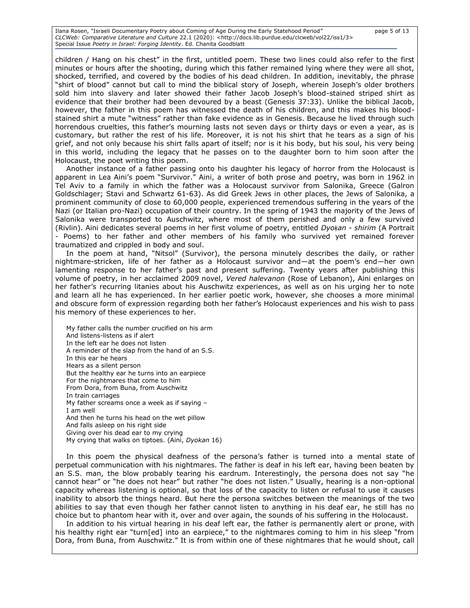Ilana Rosen, "Israeli Documentary Poetry about Coming of Age During the Early Statehood Period" page 5 of 13 *CLCWeb: Comparative Literature and Culture* 22.1 (2020): <http://docs.lib.purdue.edu/clcweb/vol22/iss1/3> Special Issue *Poetry in Israel: Forging Identity*. Ed. Chanita Goodblatt

children / Hang on his chest" in the first, untitled poem. These two lines could also refer to the first minutes or hours after the shooting, during which this father remained lying where they were all shot, shocked, terrified, and covered by the bodies of his dead children. In addition, inevitably, the phrase "shirt of blood" cannot but call to mind the biblical story of Joseph, wherein Joseph's older brothers sold him into slavery and later showed their father Jacob Joseph's blood-stained striped shirt as evidence that their brother had been devoured by a beast (Genesis 37:33). Unlike the biblical Jacob, however, the father in this poem has witnessed the death of his children, and this makes his bloodstained shirt a mute "witness" rather than fake evidence as in Genesis. Because he lived through such horrendous cruelties, this father's mourning lasts not seven days or thirty days or even a year, as is customary, but rather the rest of his life. Moreover, it is not his shirt that he tears as a sign of his grief, and not only because his shirt falls apart of itself; nor is it his body, but his soul, his very being in this world, including the legacy that he passes on to the daughter born to him soon after the Holocaust, the poet writing this poem.

Another instance of a father passing onto his daughter his legacy of horror from the Holocaust is apparent in Lea Aini's poem "Survivor." Aini, a writer of both prose and poetry, was born in 1962 in Tel Aviv to a family in which the father was a Holocaust survivor from Salonika, Greece (Galron Goldschlager; Stavi and Schwartz 61-63). As did Greek Jews in other places, the Jews of Salonika, a prominent community of close to 60,000 people, experienced tremendous suffering in the years of the Nazi (or Italian pro-Nazi) occupation of their country. In the spring of 1943 the majority of the Jews of Salonika were transported to Auschwitz, where most of them perished and only a few survived (Rivlin). Aini dedicates several poems in her first volume of poetry, entitled *Dyoḳan - shirim* (A Portrait - Poems) to her father and other members of his family who survived yet remained forever traumatized and crippled in body and soul.

In the poem at hand, "Nitsol" (Survivor), the persona minutely describes the daily, or rather nightmare-stricken, life of her father as a Holocaust survivor and—at the poem's end—her own lamenting response to her father's past and present suffering. Twenty years after publishing this volume of poetry, in her acclaimed 2009 novel, *Vered halevanon* (Rose of Lebanon), Aini enlarges on her father's recurring litanies about his Auschwitz experiences, as well as on his urging her to note and learn all he has experienced. In her earlier poetic work, however, she chooses a more minimal and obscure form of expression regarding both her father's Holocaust experiences and his wish to pass his memory of these experiences to her.

My father calls the number crucified on his arm And listens-listens as if alert In the left ear he does not listen A reminder of the slap from the hand of an S.S. In this ear he hears Hears as a silent person But the healthy ear he turns into an earpiece For the nightmares that come to him From Dora, from Buna, from Auschwitz In train carriages My father screams once a week as if saying – I am well And then he turns his head on the wet pillow And falls asleep on his right side Giving over his dead ear to my crying My crying that walks on tiptoes. (Aini, *Dyokan* 16)

In this poem the physical deafness of the persona's father is turned into a mental state of perpetual communication with his nightmares. The father is deaf in his left ear, having been beaten by an S.S. man, the blow probably tearing his eardrum. Interestingly, the persona does not say "he cannot hear" or "he does not hear" but rather "he does not listen." Usually, hearing is a non-optional capacity whereas listening is optional, so that loss of the capacity to listen or refusal to use it causes inability to absorb the things heard. But here the persona switches between the meanings of the two abilities to say that even though her father cannot listen to anything in his deaf ear, he still has no choice but to phantom hear with it, over and over again, the sounds of his suffering in the Holocaust.

In addition to his virtual hearing in his deaf left ear, the father is permanently alert or prone, with his healthy right ear "turn[ed] into an earpiece," to the nightmares coming to him in his sleep "from Dora, from Buna, from Auschwitz." It is from within one of these nightmares that he would shout, call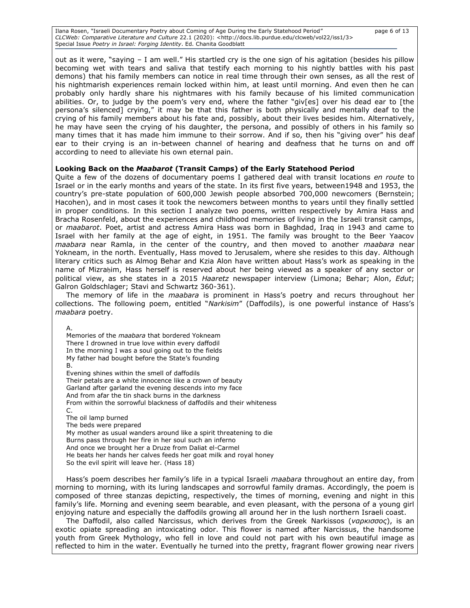Ilana Rosen, "Israeli Documentary Poetry about Coming of Age During the Early Statehood Period" page 6 of 13 *CLCWeb: Comparative Literature and Culture* 22.1 (2020): <http://docs.lib.purdue.edu/clcweb/vol22/iss1/3> Special Issue *Poetry in Israel: Forging Identity*. Ed. Chanita Goodblatt

out as it were, "saying – I am well." His startled cry is the one sign of his agitation (besides his pillow becoming wet with tears and saliva that testify each morning to his nightly battles with his past demons) that his family members can notice in real time through their own senses, as all the rest of his nightmarish experiences remain locked within him, at least until morning. And even then he can probably only hardly share his nightmares with his family because of his limited communication abilities. Or, to judge by the poem's very end, where the father "giv[es] over his dead ear to [the persona's silenced] crying," it may be that this father is both physically and mentally deaf to the crying of his family members about his fate and, possibly, about their lives besides him. Alternatively, he may have seen the crying of his daughter, the persona, and possibly of others in his family so many times that it has made him immune to their sorrow. And if so, then his "giving over" his deaf ear to their crying is an in-between channel of hearing and deafness that he turns on and off according to need to alleviate his own eternal pain.

### **Looking Back on the** *Maabarot* **(Transit Camps) of the Early Statehood Period**

Quite a few of the dozens of documentary poems I gathered deal with transit locations *en route* to Israel or in the early months and years of the state. In its first five years, between1948 and 1953, the country's pre-state population of 600,000 Jewish people absorbed 700,000 newcomers (Bernstein; Hacohen), and in most cases it took the newcomers between months to years until they finally settled in proper conditions. In this section I analyze two poems, written respectively by Amira Hass and Bracha Rosenfeld, about the experiences and childhood memories of living in the Israeli transit camps, or *maabarot*. Poet, artist and actress Amira Hass was born in Baghdad, Iraq in 1943 and came to Israel with her family at the age of eight, in 1951. The family was brought to the Beer Yaacov *maabara* near Ramla, in the center of the country, and then moved to another *maabara* near Yokneam, in the north. Eventually, Hass moved to Jerusalem, where she resides to this day. Although literary critics such as Almog Behar and Kzia Alon have written about Hass's work as speaking in the name of Mizraḥim, Hass herself is reserved about her being viewed as a speaker of any sector or political view, as she states in a 2015 *Haaretz* newspaper interview (Limona; Behar; Alon, *Edut*; Galron Goldschlager; Stavi and Schwartz 360-361).

The memory of life in the *maabara* is prominent in Hass's poetry and recurs throughout her collections. The following poem, entitled "*Narkisim*" (Daffodils), is one powerful instance of Hass's *maabara* poetry.

A.

Memories of the *maabara* that bordered Yokneam There I drowned in true love within every daffodil In the morning I was a soul going out to the fields My father had bought before the State's founding B.

Evening shines within the smell of daffodils Their petals are a white innocence like a crown of beauty Garland after garland the evening descends into my face And from afar the tin shack burns in the darkness From within the sorrowful blackness of daffodils and their whiteness

C.

The oil lamp burned

The beds were prepared

My mother as usual wanders around like a spirit threatening to die

Burns pass through her fire in her soul such an inferno

And once we brought her a Druze from Daliat el-Carmel

He beats her hands her calves feeds her goat milk and royal honey So the evil spirit will leave her. (Hass 18)

Hass's poem describes her family's life in a typical Israeli *maabara* throughout an entire day, from

morning to morning, with its luring landscapes and sorrowful family dramas. Accordingly, the poem is composed of three stanzas depicting, respectively, the times of morning, evening and night in this family's life. Morning and evening seem bearable, and even pleasant, with the persona of a young girl enjoying nature and especially the daffodils growing all around her in the lush northern Israeli coast.

The Daffodil, also called Narcissus, which derives from the Greek Narkissos (*ναρκισσος*), is an exotic opiate spreading an intoxicating odor. This flower is named after Narcissus, the handsome youth from Greek Mythology, who fell in love and could not part with his own beautiful image as reflected to him in the water. Eventually he turned into the pretty, fragrant flower growing near rivers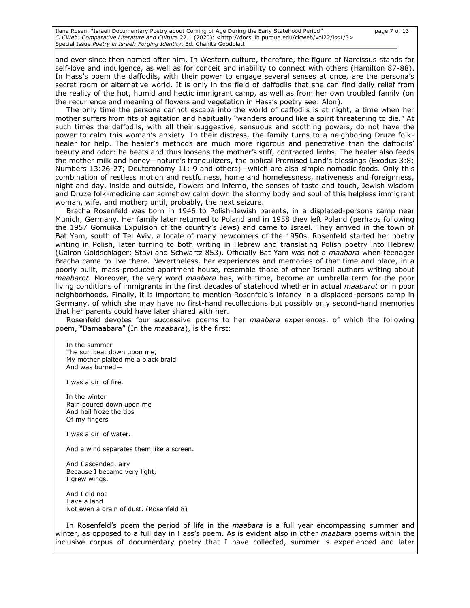Ilana Rosen, "Israeli Documentary Poetry about Coming of Age During the Early Statehood Period" page 7 of 13 *CLCWeb: Comparative Literature and Culture* 22.1 (2020): <http://docs.lib.purdue.edu/clcweb/vol22/iss1/3> Special Issue *Poetry in Israel: Forging Identity*. Ed. Chanita Goodblatt

and ever since then named after him. In Western culture, therefore, the figure of Narcissus stands for self-love and indulgence, as well as for conceit and inability to connect with others (Hamilton 87-88). In Hass's poem the daffodils, with their power to engage several senses at once, are the persona's secret room or alternative world. It is only in the field of daffodils that she can find daily relief from the reality of the hot, humid and hectic immigrant camp, as well as from her own troubled family (on the recurrence and meaning of flowers and vegetation in Hass's poetry see: Alon).

The only time the persona cannot escape into the world of daffodils is at night, a time when her mother suffers from fits of agitation and habitually "wanders around like a spirit threatening to die." At such times the daffodils, with all their suggestive, sensuous and soothing powers, do not have the power to calm this woman's anxiety. In their distress, the family turns to a neighboring Druze folkhealer for help. The healer's methods are much more rigorous and penetrative than the daffodils' beauty and odor: he beats and thus loosens the mother's stiff, contracted limbs. The healer also feeds the mother milk and honey—nature's tranquilizers, the biblical Promised Land's blessings (Exodus 3:8; Numbers 13:26-27; Deuteronomy 11: 9 and others)—which are also simple nomadic foods. Only this combination of restless motion and restfulness, home and homelessness, nativeness and foreignness, night and day, inside and outside, flowers and inferno, the senses of taste and touch, Jewish wisdom and Druze folk-medicine can somehow calm down the stormy body and soul of this helpless immigrant woman, wife, and mother; until, probably, the next seizure.

Bracha Rosenfeld was born in 1946 to Polish-Jewish parents, in a displaced-persons camp near Munich, Germany. Her family later returned to Poland and in 1958 they left Poland (perhaps following the 1957 Gomulka Expulsion of the country's Jews) and came to Israel. They arrived in the town of Bat Yam, south of Tel Aviv, a locale of many newcomers of the 1950s. Rosenfeld started her poetry writing in Polish, later turning to both writing in Hebrew and translating Polish poetry into Hebrew (Galron Goldschlager; Stavi and Schwartz 853). Officially Bat Yam was not a *maabara* when teenager Bracha came to live there. Nevertheless, her experiences and memories of that time and place, in a poorly built, mass-produced apartment house, resemble those of other Israeli authors writing about *maabarot*. Moreover, the very word *maabara* has, with time, become an umbrella term for the poor living conditions of immigrants in the first decades of statehood whether in actual *maabarot* or in poor neighborhoods. Finally, it is important to mention Rosenfeld's infancy in a displaced-persons camp in Germany, of which she may have no first-hand recollections but possibly only second-hand memories that her parents could have later shared with her.

Rosenfeld devotes four successive poems to her *maabara* experiences, of which the following poem, "Bamaabara" (In the *maabara*), is the first:

In the summer The sun beat down upon me, My mother plaited me a black braid And was burned*—*

I was a girl of fire.

In the winter Rain poured down upon me And hail froze the tips Of my fingers

I was a girl of water.

And a wind separates them like a screen.

And I ascended, airy Because I became very light, I grew wings.

And I did not Have a land Not even a grain of dust. (Rosenfeld 8)

In Rosenfeld's poem the period of life in the *maabara* is a full year encompassing summer and winter, as opposed to a full day in Hass's poem. As is evident also in other *maabara* poems within the inclusive corpus of documentary poetry that I have collected, summer is experienced and later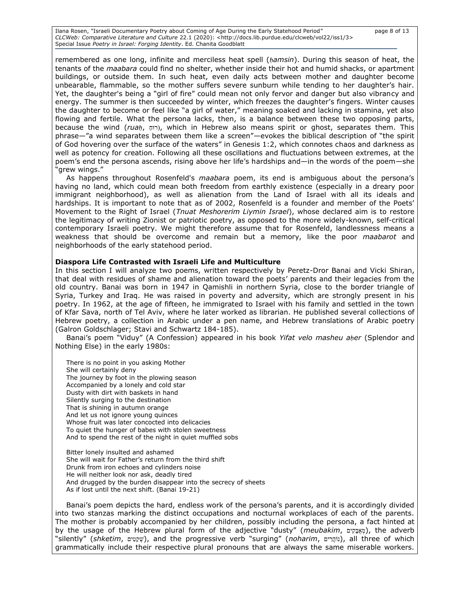Ilana Rosen, "Israeli Documentary Poetry about Coming of Age During the Early Statehood Period" page 8 of 13 *CLCWeb: Comparative Literature and Culture* 22.1 (2020): <http://docs.lib.purdue.edu/clcweb/vol22/iss1/3> Special Issue *Poetry in Israel: Forging Identity*. Ed. Chanita Goodblatt

remembered as one long, infinite and merciless heat spell (*ḥamsin*). During this season of heat, the tenants of the *maabara* could find no shelter, whether inside their hot and humid shacks, or apartment buildings, or outside them. In such heat, even daily acts between mother and daughter become unbearable, flammable, so the mother suffers severe sunburn while tending to her daughter's hair. Yet, the daughter's being a "girl of fire" could mean not only fervor and danger but also vibrancy and energy. The summer is then succeeded by winter, which freezes the daughter's fingers. Winter causes the daughter to become or feel like "a girl of water," meaning soaked and lacking in stamina, yet also flowing and fertile. What the persona lacks, then, is a balance between these two opposing parts, because the wind (*ruaḥ*, ַ וחּר), which in Hebrew also means spirit or ghost, separates them. This phrase—"a wind separates between them like a screen"—evokes the biblical description of "the spirit of God hovering over the surface of the waters" in Genesis 1:2, which connotes chaos and darkness as well as potency for creation. Following all these oscillations and fluctuations between extremes, at the poem's end the persona ascends, rising above her life's hardships and—in the words of the poem—she "grew wings."

As happens throughout Rosenfeld's *maabara* poem, its end is ambiguous about the persona's having no land, which could mean both freedom from earthly existence (especially in a dreary poor immigrant neighborhood), as well as alienation from the Land of Israel with all its ideals and hardships. It is important to note that as of 2002, Rosenfeld is a founder and member of the Poets' Movement to the Right of Israel (*Tnuat Meshorerim Liymin Israel*), whose declared aim is to restore the legitimacy of writing Zionist or patriotic poetry, as opposed to the more widely-known, self-critical contemporary Israeli poetry. We might therefore assume that for Rosenfeld, landlessness means a weakness that should be overcome and remain but a memory, like the poor *maabarot* and neighborhoods of the early statehood period.

### **Diaspora Life Contrasted with Israeli Life and Multiculture**

In this section I will analyze two poems, written respectively by Peretz-Dror Banai and Vicki Shiran, that deal with residues of shame and alienation toward the poets' parents and their legacies from the old country. Banai was born in 1947 in Qamishli in northern Syria, close to the border triangle of Syria, Turkey and Iraq. He was raised in poverty and adversity, which are strongly present in his poetry. In 1962, at the age of fifteen, he immigrated to Israel with his family and settled in the town of Kfar Sava, north of Tel Aviv, where he later worked as librarian. He published several collections of Hebrew poetry, a collection in Arabic under a pen name, and Hebrew translations of Arabic poetry (Galron Goldschlager; Stavi and Schwartz 184-185).

Banai's poem "Viduy" (A Confession) appeared in his book *Yifat velo masheu aḥer* (Splendor and Nothing Else) in the early 1980s:

There is no point in you asking Mother She will certainly deny The journey by foot in the plowing season Accompanied by a lonely and cold star Dusty with dirt with baskets in hand Silently surging to the destination That is shining in autumn orange And let us not ignore young quinces Whose fruit was later concocted into delicacies To quiet the hunger of babes with stolen sweetness And to spend the rest of the night in quiet muffled sobs

Bitter lonely insulted and ashamed She will wait for Father's return from the third shift Drunk from iron echoes and cylinders noise He will neither look nor ask, deadly tired And drugged by the burden disappear into the secrecy of sheets As if lost until the next shift. (Banai 19-21)

Banai's poem depicts the hard, endless work of the persona's parents, and it is accordingly divided into two stanzas marking the distinct occupations and nocturnal workplaces of each of the parents. The mother is probably accompanied by her children, possibly including the persona, a fact hinted at by the usage of the Hebrew plural form of the adjective "dusty" (*meubakim*,  $\exp$ , the adverb "silently" (*shketim*, ישָטּים), and the progressive verb "surging" (*noharim*, נוֹהֲרִים), all three of which grammatically include their respective plural pronouns that are always the same miserable workers.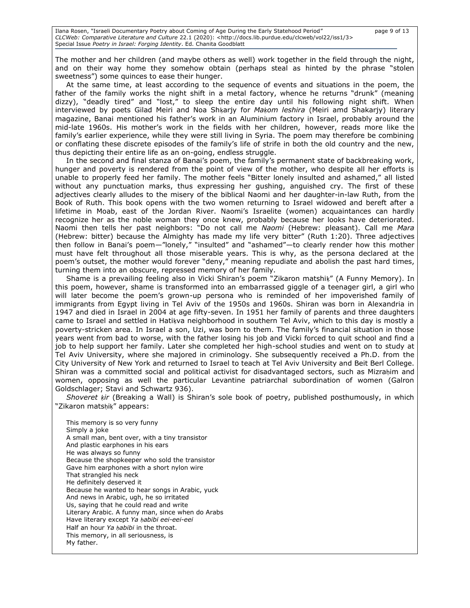The mother and her children (and maybe others as well) work together in the field through the night, and on their way home they somehow obtain (perhaps steal as hinted by the phrase "stolen sweetness") some quinces to ease their hunger.

At the same time, at least according to the sequence of events and situations in the poem, the father of the family works the night shift in a metal factory, whence he returns "drunk" (meaning dizzy), "deadly tired" and "lost," to sleep the entire day until his following night shift. When interviewed by poets Gilad Meiri and Noa Shḳarjy for *Maḳom leshira* (Meiri amd Shakarjy) literary magazine, Banai mentioned his father's work in an Aluminium factory in Israel, probably around the mid-late 1960s. His mother's work in the fields with her children, however, reads more like the family's earlier experience, while they were still living in Syria. The poem may therefore be combining or conflating these discrete episodes of the family's life of strife in both the old country and the new, thus depicting their entire life as an on-going, endless struggle.

In the second and final stanza of Banai's poem, the family's permanent state of backbreaking work, hunger and poverty is rendered from the point of view of the mother, who despite all her efforts is unable to properly feed her family. The mother feels "Bitter lonely insulted and ashamed," all listed without any punctuation marks, thus expressing her gushing, anguished cry. The first of these adjectives clearly alludes to the misery of the biblical Naomi and her daughter-in-law Ruth, from the Book of Ruth. This book opens with the two women returning to Israel widowed and bereft after a lifetime in Moab, east of the Jordan River. Naomi's Israelite (women) acquaintances can hardly recognize her as the noble woman they once knew, probably because her looks have deteriorated. Naomi then tells her past neighbors: "Do not call me *Naomi* (Hebrew: pleasant). Call me *Mara* (Hebrew: bitter) because the Almighty has made my life very bitter" (Ruth 1:20). Three adjectives then follow in Banai's poem—"lonely," "insulted" and "ashamed"—to clearly render how this mother must have felt throughout all those miserable years. This is why, as the persona declared at the poem's outset, the mother would forever "deny," meaning repudiate and abolish the past hard times, turning them into an obscure, repressed memory of her family.

Shame is a prevailing feeling also in Vicki Shiran's poem "Zikaron matshiḳ" (A Funny Memory). In this poem, however, shame is transformed into an embarrassed giggle of a teenager girl, a girl who will later become the poem's grown-up persona who is reminded of her impoverished family of immigrants from Egypt living in Tel Aviv of the 1950s and 1960s. Shiran was born in Alexandria in 1947 and died in Israel in 2004 at age fifty-seven. In 1951 her family of parents and three daughters came to Israel and settled in Hatiķva neighborhood in southern Tel Aviv, which to this day is mostly a poverty-stricken area. In Israel a son, Uzi, was born to them. The family's financial situation in those years went from bad to worse, with the father losing his job and Vicki forced to quit school and find a job to help support her family. Later she completed her high-school studies and went on to study at Tel Aviv University, where she majored in criminology. She subsequently received a Ph.D. from the City University of New York and returned to Israel to teach at Tel Aviv University and Beit Berl College. Shiran was a committed social and political activist for disadvantaged sectors, such as Mizraḥim and women, opposing as well the particular Levantine patriarchal subordination of women (Galron Goldschlager; Stavi and Schwartz 936).

*Shoveret ḳir* (Breaking a Wall) is Shiran's sole book of poetry, published posthumously, in which "Zikaron matsḥiḳ" appears:

This memory is so very funny Simply a joke A small man, bent over, with a tiny transistor And plastic earphones in his ears He was always so funny Because the shopkeeper who sold the transistor Gave him earphones with a short nylon wire That strangled his neck He definitely deserved it Because he wanted to hear songs in Arabic, yuck And news in Arabic, ugh, he so irritated Us, saying that he could read and write Literary Arabic. A funny man, since when do Arabs Have literary except *Ya ḥabibi eei-eei-eei* Half an hour *Ya ḥabibi* in the throat. This memory, in all seriousness, is My father.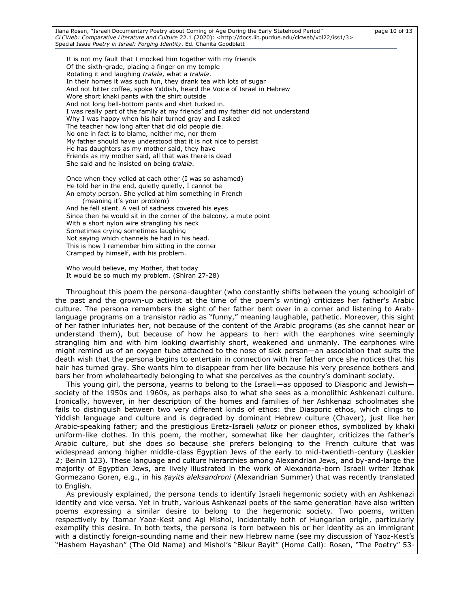Ilana Rosen, "Israeli Documentary Poetry about Coming of Age During the Early Statehood Period" page 10 of 13 *CLCWeb: Comparative Literature and Culture* 22.1 (2020): <http://docs.lib.purdue.edu/clcweb/vol22/iss1/3> Special Issue *Poetry in Israel: Forging Identity*. Ed. Chanita Goodblatt

It is not my fault that I mocked him together with my friends Of the sixth-grade, placing a finger on my temple Rotating it and laughing *tralala*, what a *tralala*. In their homes it was such fun, they drank tea with lots of sugar And not bitter coffee, spoke Yiddish, heard the Voice of Israel in Hebrew Wore short khaki pants with the shirt outside And not long bell-bottom pants and shirt tucked in. I was really part of the family at my friends' and my father did not understand Why I was happy when his hair turned gray and I asked The teacher how long after that did old people die. No one in fact is to blame, neither me, nor them My father should have understood that it is not nice to persist He has daughters as my mother said, they have Friends as my mother said, all that was there is dead She said and he insisted on being *tralala*.

Once when they yelled at each other (I was so ashamed) He told her in the end, quietly quietly, I cannot be An empty person. She yelled at him something in French

(meaning it's your problem) And he fell silent. A veil of sadness covered his eyes. Since then he would sit in the corner of the balcony, a mute point With a short nylon wire strangling his neck Sometimes crying sometimes laughing Not saying which channels he had in his head. This is how I remember him sitting in the corner Cramped by himself, with his problem.

Who would believe, my Mother, that today It would be so much my problem. (Shiran 27-28)

Throughout this poem the persona-daughter (who constantly shifts between the young schoolgirl of the past and the grown-up activist at the time of the poem's writing) criticizes her father's Arabic culture. The persona remembers the sight of her father bent over in a corner and listening to Arablanguage programs on a transistor radio as "funny," meaning laughable, pathetic. Moreover, this sight of her father infuriates her, not because of the content of the Arabic programs (as she cannot hear or understand them), but because of how he appears to her: with the earphones wire seemingly strangling him and with him looking dwarfishly short, weakened and unmanly. The earphones wire might remind us of an oxygen tube attached to the nose of sick person—an association that suits the death wish that the persona begins to entertain in connection with her father once she notices that his hair has turned gray. She wants him to disappear from her life because his very presence bothers and bars her from wholeheartedly belonging to what she perceives as the country's dominant society.

This young girl, the persona, yearns to belong to the Israeli—as opposed to Diasporic and Jewish society of the 1950s and 1960s, as perhaps also to what she sees as a monolithic Ashkenazi culture. Ironically, however, in her description of the homes and families of her Ashkenazi schoolmates she fails to distinguish between two very different kinds of ethos: the Diasporic ethos, which clings to Yiddish language and culture and is degraded by dominant Hebrew culture (Chaver), just like her Arabic-speaking father; and the prestigious Eretz-Israeli *ḥalutz* or pioneer ethos, symbolized by khaki uniform-like clothes. In this poem, the mother, somewhat like her daughter, criticizes the father's Arabic culture, but she does so because she prefers belonging to the French culture that was widespread among higher middle-class Egyptian Jews of the early to mid-twentieth-century (Laskier 2; Beinin 123). These language and culture hierarchies among Alexandrian Jews, and by-and-large the majority of Egyptian Jews, are lively illustrated in the work of Alexandria-born Israeli writer Itzhak Gormezano Goren, e.g., in his *Ḳayits aleksandroni* (Alexandrian Summer) that was recently translated to English.

As previously explained, the persona tends to identify Israeli hegemonic society with an Ashkenazi identity and vice versa. Yet in truth, various Ashkenazi poets of the same generation have also written poems expressing a similar desire to belong to the hegemonic society. Two poems, written respectively by Itamar Yaoz-Kest and Agi Mishol, incidentally both of Hungarian origin, particularly exemplify this desire. In both texts, the persona is torn between his or her identity as an immigrant with a distinctly foreign-sounding name and their new Hebrew name (see my discussion of Yaoz-Kest's "Hashem Hayashan" (The Old Name) and Mishol's "Bikur Bayit" (Home Call): Rosen, "The Poetry" 53-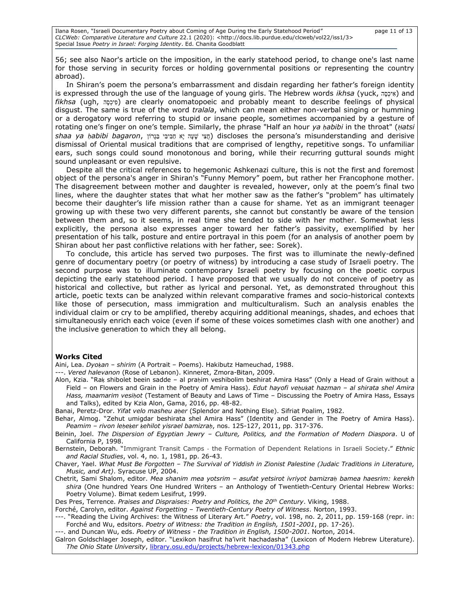Ilana Rosen, "Israeli Documentary Poetry about Coming of Age During the Early Statehood Period" page 11 of 13 *CLCWeb: Comparative Literature and Culture* 22.1 (2020): <http://docs.lib.purdue.edu/clcweb/vol22/iss1/3> Special Issue *Poetry in Israel: Forging Identity*. Ed. Chanita Goodblatt

56; see also Naor's article on the imposition, in the early statehood period, to change one's last name for those serving in security forces or holding governmental positions or representing the country abroad).

In Shiran's poem the persona's embarrassment and disdain regarding her father's foreign identity is expressed through the use of the language of young girls. The Hebrew words *ikhsa* (yuck, אִיכָּה and *fikhsa* (ugh, ה ָּס ְיכ ִפ (are clearly onomatopoeic and probably meant to describe feelings of physical disgust. The same is true of the word *tralala*, which can mean either non-verbal singing or humming or a derogatory word referring to stupid or insane people, sometimes accompanied by a gesture of rotating one's finger on one's temple. Similarly, the phrase "Half an hour *ya ḥabibi* in the throat" (*Ḥatsi*  derisive and misunderstanding s'persona the discloses) חֲצִ י שָּ עָּה יָּא ַח בִ יבִ י ַב גָּרֹון ,*bagaron ḥabibi ya shaa* dismissal of Oriental musical traditions that are comprised of lengthy, repetitive songs. To unfamiliar ears, such songs could sound monotonous and boring, while their recurring guttural sounds might sound unpleasant or even repulsive.

Despite all the critical references to hegemonic Ashkenazi culture, this is not the first and foremost object of the persona's anger in Shiran's "Funny Memory" poem, but rather her Francophone mother. The disagreement between mother and daughter is revealed, however, only at the poem's final two lines, where the daughter states that what her mother saw as the father's "problem" has ultimately become their daughter's life mission rather than a cause for shame. Yet as an immigrant teenager growing up with these two very different parents, she cannot but constantly be aware of the tension between them and, so it seems, in real time she tended to side with her mother. Somewhat less explicitly, the persona also expresses anger toward her father's passivity, exemplified by her presentation of his talk, posture and entire portrayal in this poem (for an analysis of another poem by Shiran about her past conflictive relations with her father, see: Sorek).

To conclude, this article has served two purposes. The first was to illuminate the newly-defined genre of documentary poetry (or poetry of witness) by introducing a case study of Israeli poetry. The second purpose was to illuminate contemporary Israeli poetry by focusing on the poetic corpus depicting the early statehood period. I have proposed that we usually do not conceive of poetry as historical and collective, but rather as lyrical and personal. Yet, as demonstrated throughout this article, poetic texts can be analyzed within relevant comparative frames and socio-historical contexts like those of persecution, mass immigration and multiculturalism. Such an analysis enables the individual claim or cry to be amplified, thereby acquiring additional meanings, shades, and echoes that simultaneously enrich each voice (even if some of these voices sometimes clash with one another) and the inclusive generation to which they all belong.

#### **Works Cited**

Aini, Lea. *Dyoḳan – shirim* (A Portrait – Poems). Hakibutz Hameuchad, 1988.

---. *Vered halevanon* (Rose of Lebanon). Kinneret, Zmora-Bitan, 2009.

Alon, Kzia. "Rak shibolet beein sadde - al praḥim veshibolim beshirat Amira Hass" (Only a Head of Grain without a Field – on Flowers and Grain in the Poetry of Amira Hass). *Edut hayofi veḥuḳat hazman – al shirata shel Amira Hass, maamarim vesiḥot* (Testament of Beauty and Laws of Time – Discussing the Poetry of Amira Hass, Essays and Talks), edited by Kzia Alon, Gama, 2016, pp. 48-82.

Banai, Peretz-Dror. *Yifat velo masheu aḥer* (Splendor and Nothing Else). Sifriat Poalim, 1982.

- Behar, Almog. "Zehut umigdar beshirata shel Amira Hass" (Identity and Gender in The Poetry of Amira Hass). *Peamim – rivon leḥeḳer ḳehilot yisrael bamizraḥ*, nos. 125-127, 2011, pp. 317-376.
- Beinin, Joel. *The Dispersion of Egyptian Jewry – Culture, Politics, and the Formation of Modern Diaspora*. U of California P, 1998.
- Bernstein, Deborah. "Immigrant Transit Camps ‐ the Formation of Dependent Relations in Israeli Society." *Ethnic and Racial Studies*, vol. 4, no. 1, 1981, pp. 26-43.

Chaver, Yael. *What Must Be Forgotten – The Survival of Yiddish in Zionist Palestine (Judaic Traditions in Literature, Music, and Art)*. Syracuse UP, 2004.

- Chetrit, Sami Shalom, editor. *Mea shanim mea yotsrim – asufat yetsirot ivriyot bamizraḥ bamea haesrim: kerekh shira* (One hundred Years One Hundred Writers – an Anthology of Twentieth-Century Oriental Hebrew Works: Poetry Volume). Bimat Kedem Lesifrut, 1999.
- Des Pres, Terrence. *Praises and Dispraises: Poetry and Politics, the 20th Century*. Viking, 1988.

Forché, Carolyn, editor. *Against Forgetting – Twentieth-Century Poetry of Witness*. Norton, 1993.

---. "Reading the Living Archives: the Witness of Literary Art." *Poetry*, vol. 198, no. 2, 2011, pp. 159-168 (repr. in: Forché and Wu, edsitors. *Poetry of Witness: the Tradition in English, 1501-2001*, pp. 17-26).

---. and Duncan Wu, eds. *Poetry of Witness - the Tradition in English, 1500-2001*. Norton, 2014.

Galron Goldschlager Joseph, editor. "Lexikon hasifrut ha'ivrit hachadasha" (Lexicon of Modern Hebrew Literature). *The Ohio State University*, [library.osu.edu/projects/hebrew-lexicon/01343.php](https://library.osu.edu/projects/hebrew-lexicon/01343.php)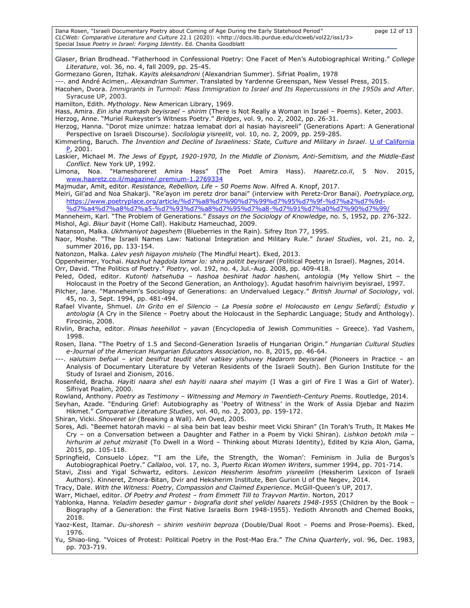Ilana Rosen, "Israeli Documentary Poetry about Coming of Age During the Early Statehood Period" page 12 of 13 *CLCWeb: Comparative Literature and Culture* 22.1 (2020): <http://docs.lib.purdue.edu/clcweb/vol22/iss1/3> Special Issue *Poetry in Israel: Forging Identity*. Ed. Chanita Goodblatt

Glaser, Brian Brodhead. "Fatherhood in Confessional Poetry: One Facet of Men's Autobiographical Writing." *College Literature*, vol. 36, no. 4, fall 2009, pp. 25-45. Gormezano Goren, Itzhak. *Kayits aleksandroni* (Alexandrian Summer). Sifriat Poalim, 1978 ---. and André Acimen,. *Alexandrian Summer*. Translated by Yardenne Greenspan, New Vessel Press, 2015. Hacohen, Dvora. *Immigrants in Turmoil: Mass Immigration to Israel and Its Repercussions in the 1950s and After*. Syracuse UP, 2003. Hamilton, Edith. *Mythology*. New American Library, 1969. Hass, Amira. *Ein isha mamash beyisrael – shirim* (There is Not Really a Woman in Israel – Poems). Keter, 2003. Herzog, Anne. "Muriel Rukeyster's Witness Poetry." *Bridges*, vol. 9, no. 2, 2002, pp. 26-31. Herzog, Hanna. "Dorot mize unimze: hatzaa lemabat dori al hasiah hayisreeli" (Generations Apart: A Generational Perspective on Israeli Discourse). *Socilologia yisreelit*, vol. 10, no. 2, 2009, pp. 259-285. Kimmerling, Baruch. *The Invention and Decline of Israeliness: State, Culture and Military in Israel*. [U of California](https://en.wikipedia.org/wiki/University_of_California_Press)   $P, 2001.$  $P, 2001.$ Laskier, Michael M. *The Jews of Egypt, 1920-1970, In the Middle of Zionism, Anti-Semitism, and the Middle-East Conflict*. New York UP, 1992. Limona, Noa. "Hameshoreret Amira Hass" (The Poet Amira Hass). *Haaretz.co.il*, 5 Nov. 2015, [www.haaretz.co.il/magazine/.premium-1.2769334](http://www.haaretz.co.il/magazine/.premium-1.2769334) Majmudar, Amit, editor. *Resistance, Rebellion, Life – 50 Poems Now*. Alfred A. Knopf, 2017. Meiri, Gil'ad and Noa Shakarji. "Re'ayon im peretz dror banai" (interview with Peretz-Dror Banai). *Poetryplace.org,* [https://www.poetryplace.org/article/%d7%a8%d7%90%d7%99%d7%95%d7%9f-%d7%a2%d7%9d-](https://www.poetryplace.org/article/%d7%a8%d7%90%d7%99%d7%95%d7%9f-%d7%a2%d7%9d-%d7%a4%d7%a8%d7%a5-%d7%93%d7%a8%d7%95%d7%a8-%d7%91%d7%a0%d7%90%d7%99/) [%d7%a4%d7%a8%d7%a5-%d7%93%d7%a8%d7%95%d7%a8-%d7%91%d7%a0%d7%90%d7%99/](https://www.poetryplace.org/article/%d7%a8%d7%90%d7%99%d7%95%d7%9f-%d7%a2%d7%9d-%d7%a4%d7%a8%d7%a5-%d7%93%d7%a8%d7%95%d7%a8-%d7%91%d7%a0%d7%90%d7%99/) Manneheim, Karl. "The Problem of Generations." *Essays on the Sociology of Knowledge*, no. 5, 1952, pp. 276-322. Mishol, Agi. *Biḳur bayit* (Home Call). Hakibutz Hameuchad, 2009. Natanson, Malka. *Ukhmaniyot bageshem* (Blueberries in the Rain). Sifrey Iton 77, 1995. Naor, Moshe. "The Israeli Names Law: National Integration and Military Rule." *Israel Studies*, vol. 21, no. 2, summer 2016, pp. 133-154. Natonzon, Malka. *Lalev yesh higayon mishelo* (The Mindful Heart). Eked, 2013. Oppenheimer, Yochai. *Hazkhut hagdola lomar lo: shira politit beyisrael* (Political Poetry in Israel). Magnes, 2014. Orr, David. "The Politics of Poetry." *Poetry*, vol. 192, no. 4, Jul.-Aug. 2008, pp. 409-418. Peled, Oded, editor. *Kutonti hatsehuba – hashoa beshirat hador hasheni, antologia* (My Yellow Shirt – the Holocaust in the Poetry of the Second Generation, an Anthology). Agudat hasofrim haivriyim beyisrael, 1997. Pilcher, Jane. "Manneheim's Sociology of Generations: an Undervalued Legacy." *British Journal of Sociology*, vol. 45, no. 3, Sept. 1994, pp. 481-494. Rafael Vivante, Shmuel. *Un Grito en el Silencio – La Poesia sobre el Holocausto en Lengu Sefardí; Estudio y antologia* (A Cry in the Silence – Poetry about the Holocaust in the Sephardic Language; Study and Anthology). Firocinio, 2008. Rivlin, Bracha, editor. *Pinḳas heḳehillot – yavan* (Encyclopedia of Jewish Communities – Greece). Yad Vashem, 1998. Rosen, Ilana. "The Poetry of 1.5 and Second-Generation Israelis of Hungarian Origin." *Hungarian Cultural Studies e-Journal of the American Hungarian Educators Association*, no. 8, 2015, pp. 46-64. ---. *Ḥalutsim befoal – ḳriot besifrut teudit shel vatiḳey yishuvey Hadarom beyisrael* (Pioneers in Practice – an Analysis of Documentary Literature by Veteran Residents of the Israeli South). Ben Gurion Institute for the Study of Israel and Zionism, 2016. Rosenfeld, Bracha. *Hayiti naara shel esh hayiti naara shel mayim* (I Was a girl of Fire I Was a Girl of Water). Sifriyat Poalim, 2000. Rowland, Anthony. *Poetry as Testimony – Witnessing and Memory in Twentieth-Century Poems*. Routledge, 2014. Seyhan, Azade. "Enduring Grief: Autobiography as 'Poetry of Witness' in the Work of Assia Djebar and Nazim Hikmet." *Comparative Literature Studies*, vol. 40, no. 2, 2003, pp. 159-172. Shiran, Vicki. *Shoveret ḳir* (Breaking a Wall). Am Oved, 2005. Soreḳ, Adi. "Beemet hatorah mavki – al siḥa bein bat leav beshir meet Vicki Shiran" (In Torah's Truth, It Makes Me Cry – on a Conversation between a Daughter and Father in a Poem by Vicki Shiran). *Lishkon betokh mila – hirhurim al zehut mizraḥit* (To Dwell in a Word – Thinking about Mizraḥi Identity), Edited by Kzia Alon, Gama, 2015, pp. 105-118. Springfield, Consuelo López. "'I am the Life, the Strength, the Woman': Feminism in Julia de Burgos's Autobiographical Poetry." *Callaloo*, vol. 17, no. 3, *Puerto Rican Women Writers*, summer 1994, pp. 701-714. Stavi, Zissi and Yigal Schwartz, editors. *Lexicon Heḳsherim lesofrim yisreelim* (Heḳsherim Lexicon of Israeli Authors). Kinneret, Zmora-Bitan, Dvir and Heksherim Institute, Ben Gurion U of the Negev, 2014. Tracy, Dale. *With the Witness: Poetry, Compassion and Claimed Experience*. McGill-Queen's UP, 2017. Warr, Michael, editor. *Of Poetry and Protest – from Emmett Till to Trayvon Martin*. Norton, 2017 Yablonka, Hanna. *Yeladim beseder gamur - biografia dorit shel yelidei haarets 1948-1955* (Children by the Book – Biography of a Generation: the First Native Israelis Born 1948-1955). Yedioth Ahronoth and Chemed Books, 2018. Yaoz-Kest, Itamar. *Du-shoresh – shirim veshirin beproza* (Double/Dual Root – Poems and Prose-Poems). Eked, 1976. Yu, Shiao-ling. "Voices of Protest: Political Poetry in the Post-Mao Era." *The China Quarterly*, vol. 96, Dec. 1983, pp. 703-719.